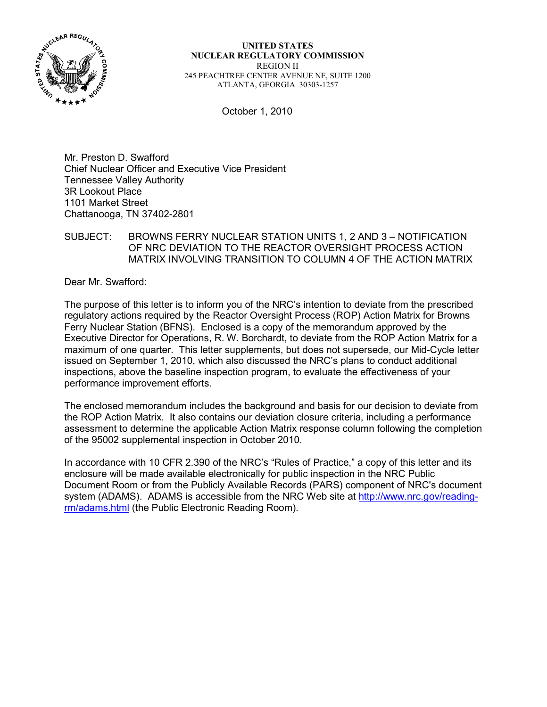

**UNITED STATES NUCLEAR REGULATORY COMMISSION**  REGION II 245 PEACHTREE CENTER AVENUE NE, SUITE 1200 ATLANTA, GEORGIA 30303-1257

October 1, 2010

Mr. Preston D. Swafford Chief Nuclear Officer and Executive Vice President Tennessee Valley Authority 3R Lookout Place 1101 Market Street Chattanooga, TN 37402-2801

### SUBJECT: BROWNS FERRY NUCLEAR STATION UNITS 1, 2 AND 3 – NOTIFICATION OF NRC DEVIATION TO THE REACTOR OVERSIGHT PROCESS ACTION MATRIX INVOLVING TRANSITION TO COLUMN 4 OF THE ACTION MATRIX

Dear Mr. Swafford:

The purpose of this letter is to inform you of the NRC's intention to deviate from the prescribed regulatory actions required by the Reactor Oversight Process (ROP) Action Matrix for Browns Ferry Nuclear Station (BFNS). Enclosed is a copy of the memorandum approved by the Executive Director for Operations, R. W. Borchardt, to deviate from the ROP Action Matrix for a maximum of one quarter. This letter supplements, but does not supersede, our Mid-Cycle letter issued on September 1, 2010, which also discussed the NRC's plans to conduct additional inspections, above the baseline inspection program, to evaluate the effectiveness of your performance improvement efforts.

The enclosed memorandum includes the background and basis for our decision to deviate from the ROP Action Matrix. It also contains our deviation closure criteria, including a performance assessment to determine the applicable Action Matrix response column following the completion of the 95002 supplemental inspection in October 2010.

In accordance with 10 CFR 2.390 of the NRC's "Rules of Practice," a copy of this letter and its enclosure will be made available electronically for public inspection in the NRC Public Document Room or from the Publicly Available Records (PARS) component of NRC's document system (ADAMS). ADAMS is accessible from the NRC Web site at http://www.nrc.gov/readingrm/adams.html (the Public Electronic Reading Room).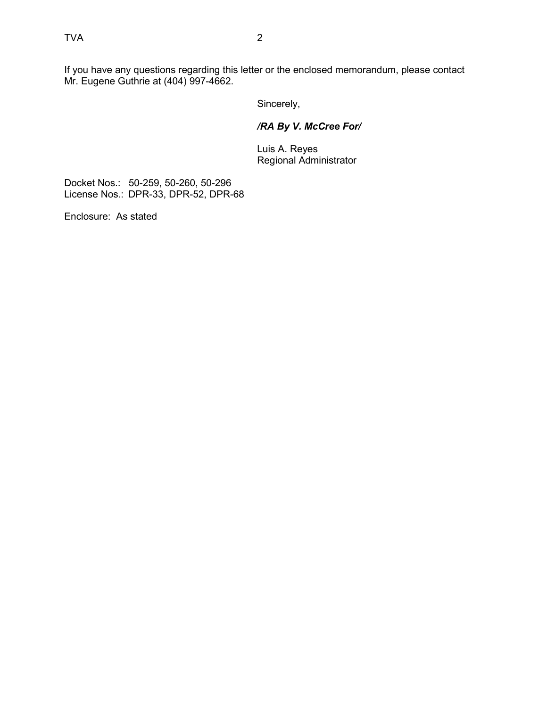If you have any questions regarding this letter or the enclosed memorandum, please contact Mr. Eugene Guthrie at (404) 997-4662.

Sincerely,

# */RA By V. McCree For/*

 Luis A. Reyes Regional Administrator

Docket Nos.: 50-259, 50-260, 50-296 License Nos.: DPR-33, DPR-52, DPR-68

Enclosure: As stated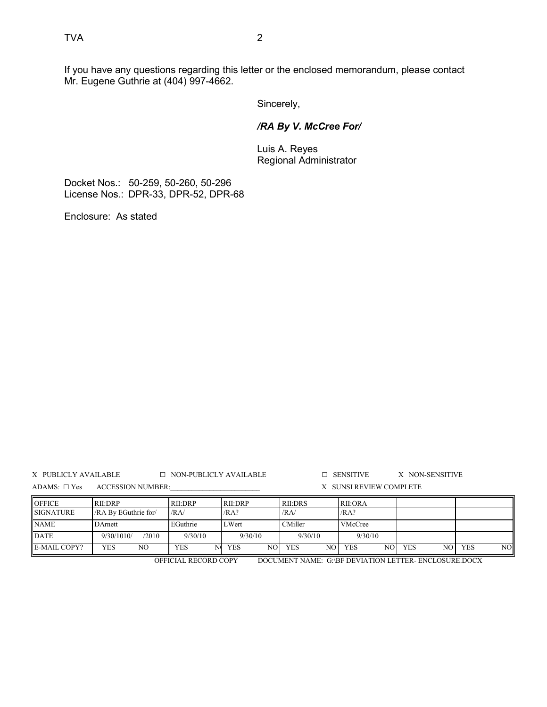If you have any questions regarding this letter or the enclosed memorandum, please contact Mr. Eugene Guthrie at (404) 997-4662.

Sincerely,

### */RA By V. McCree For/*

 Luis A. Reyes Regional Administrator

Docket Nos.: 50-259, 50-260, 50-296 License Nos.: DPR-33, DPR-52, DPR-68

Enclosure: As stated

X PUBLICLY AVAILABLE G NON-PUBLICLY AVAILABLE G SENSITIVE X NON-SENSITIVE ADAMS:  $\square$  Yes ACCESSION NUMBER:  $\qquad \qquad$  X SUNSI REVIEW COMPLETE

| <b>OFFICE</b>       | RII:DRP              | RII:DRP  | RII:DRP          | <b>RII:DRS</b>   | <b>RII:ORA</b>     |                   |                   |
|---------------------|----------------------|----------|------------------|------------------|--------------------|-------------------|-------------------|
| <b>SIGNATURE</b>    | /RA By EGuthrie for/ | /RA      | /RA?             | /RA/             | /RA?               |                   |                   |
| <b>NAME</b>         | DArnett              | EGuthrie | LWert            | CMiller          | VMcCree            |                   |                   |
| <b>DATE</b>         | /2010<br>9/30/1010/  | 9/30/10  | 9/30/10          | 9/30/10          | 9/30/10            |                   |                   |
| <b>E-MAIL COPY?</b> | YES<br>NΟ            | YES      | <b>YES</b><br>NO | <b>YES</b><br>NO | <b>YES</b><br>NO I | <b>YES</b><br>NO. | NOI<br><b>YES</b> |

OFFICIAL RECORD COPY DOCUMENT NAME: G:\BF DEVIATION LETTER- ENCLOSURE.DOCX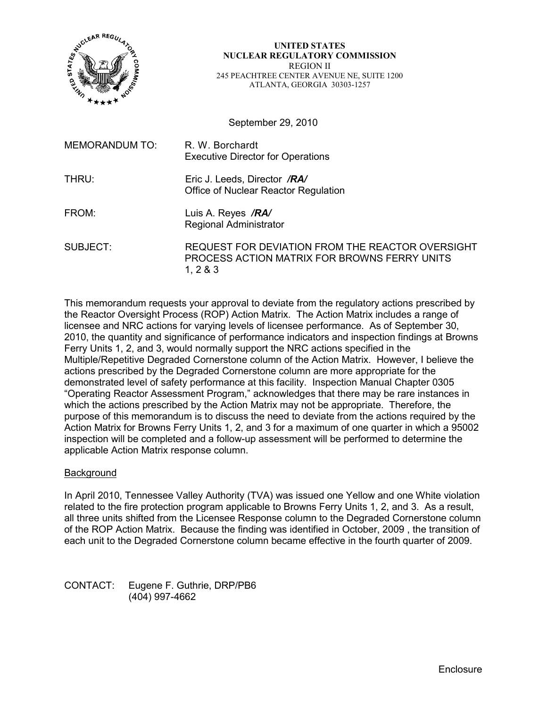

#### **UNITED STATES NUCLEAR REGULATORY COMMISSION**  REGION II 245 PEACHTREE CENTER AVENUE NE, SUITE 1200 ATLANTA, GEORGIA 30303-1257

September 29, 2010

| MEMORANDUM TO: | R. W. Borchardt<br><b>Executive Director for Operations</b>                                                |
|----------------|------------------------------------------------------------------------------------------------------------|
| THRU:          | Eric J. Leeds, Director /RA/<br>Office of Nuclear Reactor Regulation                                       |
| FROM:          | Luis A. Reyes /RA/<br>Regional Administrator                                                               |
| SUBJECT:       | REQUEST FOR DEVIATION FROM THE REACTOR OVERSIGHT<br>PROCESS ACTION MATRIX FOR BROWNS FERRY UNITS<br>1, 283 |

This memorandum requests your approval to deviate from the regulatory actions prescribed by the Reactor Oversight Process (ROP) Action Matrix. The Action Matrix includes a range of licensee and NRC actions for varying levels of licensee performance. As of September 30, 2010, the quantity and significance of performance indicators and inspection findings at Browns Ferry Units 1, 2, and 3, would normally support the NRC actions specified in the Multiple/Repetitive Degraded Cornerstone column of the Action Matrix. However, I believe the actions prescribed by the Degraded Cornerstone column are more appropriate for the demonstrated level of safety performance at this facility. Inspection Manual Chapter 0305 "Operating Reactor Assessment Program," acknowledges that there may be rare instances in which the actions prescribed by the Action Matrix may not be appropriate. Therefore, the purpose of this memorandum is to discuss the need to deviate from the actions required by the Action Matrix for Browns Ferry Units 1, 2, and 3 for a maximum of one quarter in which a 95002 inspection will be completed and a follow-up assessment will be performed to determine the applicable Action Matrix response column.

#### **Background**

In April 2010, Tennessee Valley Authority (TVA) was issued one Yellow and one White violation related to the fire protection program applicable to Browns Ferry Units 1, 2, and 3. As a result, all three units shifted from the Licensee Response column to the Degraded Cornerstone column of the ROP Action Matrix. Because the finding was identified in October, 2009 , the transition of each unit to the Degraded Cornerstone column became effective in the fourth quarter of 2009.

CONTACT: Eugene F. Guthrie, DRP/PB6 (404) 997-4662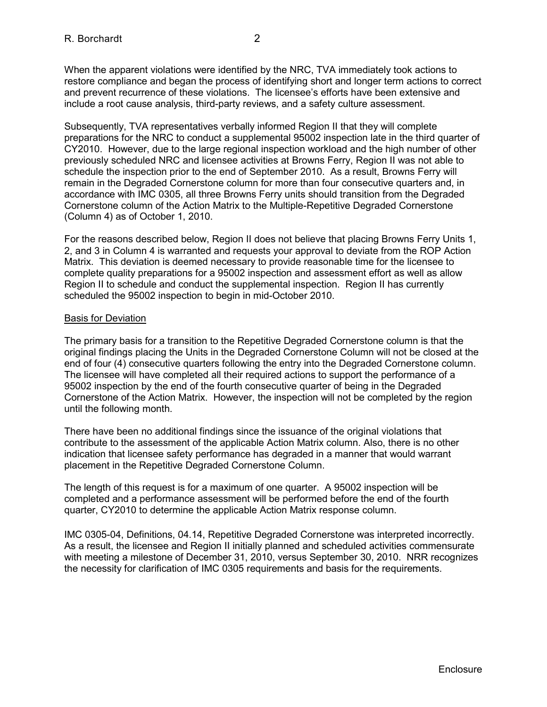When the apparent violations were identified by the NRC, TVA immediately took actions to restore compliance and began the process of identifying short and longer term actions to correct and prevent recurrence of these violations. The licensee's efforts have been extensive and include a root cause analysis, third-party reviews, and a safety culture assessment.

Subsequently, TVA representatives verbally informed Region II that they will complete preparations for the NRC to conduct a supplemental 95002 inspection late in the third quarter of CY2010. However, due to the large regional inspection workload and the high number of other previously scheduled NRC and licensee activities at Browns Ferry, Region II was not able to schedule the inspection prior to the end of September 2010. As a result, Browns Ferry will remain in the Degraded Cornerstone column for more than four consecutive quarters and, in accordance with IMC 0305, all three Browns Ferry units should transition from the Degraded Cornerstone column of the Action Matrix to the Multiple-Repetitive Degraded Cornerstone (Column 4) as of October 1, 2010.

For the reasons described below, Region II does not believe that placing Browns Ferry Units 1, 2, and 3 in Column 4 is warranted and requests your approval to deviate from the ROP Action Matrix. This deviation is deemed necessary to provide reasonable time for the licensee to complete quality preparations for a 95002 inspection and assessment effort as well as allow Region II to schedule and conduct the supplemental inspection. Region II has currently scheduled the 95002 inspection to begin in mid-October 2010.

### Basis for Deviation

The primary basis for a transition to the Repetitive Degraded Cornerstone column is that the original findings placing the Units in the Degraded Cornerstone Column will not be closed at the end of four (4) consecutive quarters following the entry into the Degraded Cornerstone column. The licensee will have completed all their required actions to support the performance of a 95002 inspection by the end of the fourth consecutive quarter of being in the Degraded Cornerstone of the Action Matrix. However, the inspection will not be completed by the region until the following month.

There have been no additional findings since the issuance of the original violations that contribute to the assessment of the applicable Action Matrix column. Also, there is no other indication that licensee safety performance has degraded in a manner that would warrant placement in the Repetitive Degraded Cornerstone Column.

The length of this request is for a maximum of one quarter. A 95002 inspection will be completed and a performance assessment will be performed before the end of the fourth quarter, CY2010 to determine the applicable Action Matrix response column.

IMC 0305-04, Definitions, 04.14, Repetitive Degraded Cornerstone was interpreted incorrectly. As a result, the licensee and Region II initially planned and scheduled activities commensurate with meeting a milestone of December 31, 2010, versus September 30, 2010. NRR recognizes the necessity for clarification of IMC 0305 requirements and basis for the requirements.